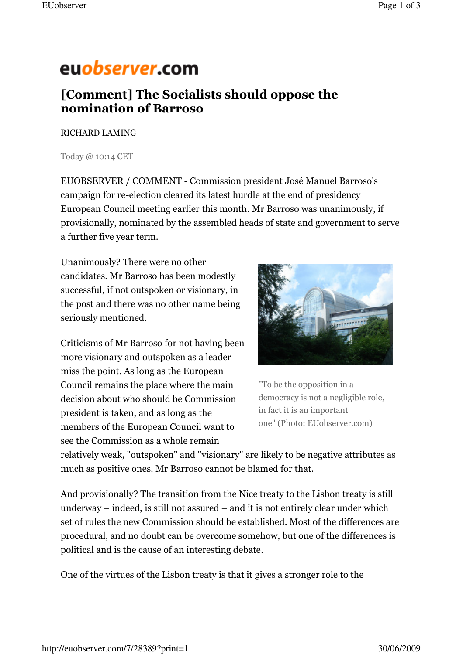## euobserver.com

## [Comment] The Socialists should oppose the nomination of Barroso

## RICHARD LAMING

Today @ 10:14 CET

EUOBSERVER / COMMENT - Commission president José Manuel Barroso's campaign for re-election cleared its latest hurdle at the end of presidency European Council meeting earlier this month. Mr Barroso was unanimously, if provisionally, nominated by the assembled heads of state and government to serve a further five year term.

Unanimously? There were no other candidates. Mr Barroso has been modestly successful, if not outspoken or visionary, in the post and there was no other name being seriously mentioned.

Criticisms of Mr Barroso for not having been more visionary and outspoken as a leader miss the point. As long as the European Council remains the place where the main decision about who should be Commission president is taken, and as long as the members of the European Council want to see the Commission as a whole remain



"To be the opposition in a democracy is not a negligible role, in fact it is an important one" (Photo: EUobserver.com)

relatively weak, "outspoken" and "visionary" are likely to be negative attributes as much as positive ones. Mr Barroso cannot be blamed for that.

And provisionally? The transition from the Nice treaty to the Lisbon treaty is still underway – indeed, is still not assured – and it is not entirely clear under which set of rules the new Commission should be established. Most of the differences are procedural, and no doubt can be overcome somehow, but one of the differences is political and is the cause of an interesting debate.

One of the virtues of the Lisbon treaty is that it gives a stronger role to the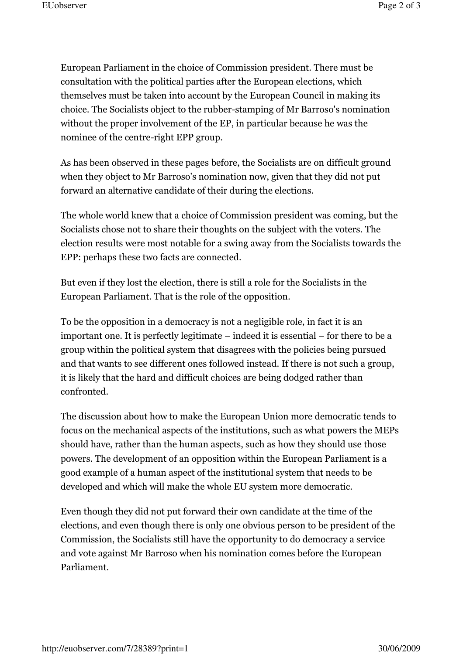European Parliament in the choice of Commission president. There must be consultation with the political parties after the European elections, which themselves must be taken into account by the European Council in making its choice. The Socialists object to the rubber-stamping of Mr Barroso's nomination without the proper involvement of the EP, in particular because he was the nominee of the centre-right EPP group.

As has been observed in these pages before, the Socialists are on difficult ground when they object to Mr Barroso's nomination now, given that they did not put forward an alternative candidate of their during the elections.

The whole world knew that a choice of Commission president was coming, but the Socialists chose not to share their thoughts on the subject with the voters. The election results were most notable for a swing away from the Socialists towards the EPP: perhaps these two facts are connected.

But even if they lost the election, there is still a role for the Socialists in the European Parliament. That is the role of the opposition.

To be the opposition in a democracy is not a negligible role, in fact it is an important one. It is perfectly legitimate – indeed it is essential – for there to be a group within the political system that disagrees with the policies being pursued and that wants to see different ones followed instead. If there is not such a group, it is likely that the hard and difficult choices are being dodged rather than confronted.

The discussion about how to make the European Union more democratic tends to focus on the mechanical aspects of the institutions, such as what powers the MEPs should have, rather than the human aspects, such as how they should use those powers. The development of an opposition within the European Parliament is a good example of a human aspect of the institutional system that needs to be developed and which will make the whole EU system more democratic.

Even though they did not put forward their own candidate at the time of the elections, and even though there is only one obvious person to be president of the Commission, the Socialists still have the opportunity to do democracy a service and vote against Mr Barroso when his nomination comes before the European Parliament.